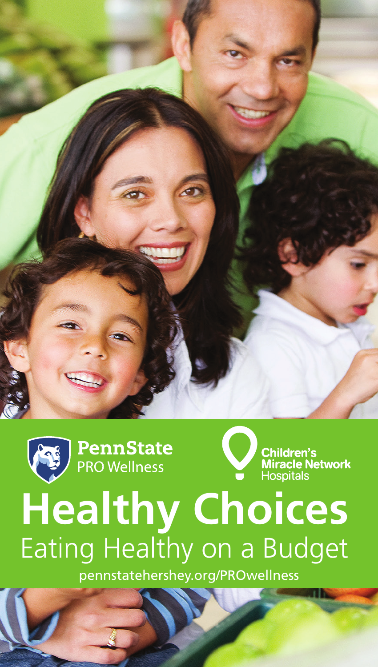





# **Healthy Choices** Eating Healthy on a Budget

pennstatehershey.org/PROwellness